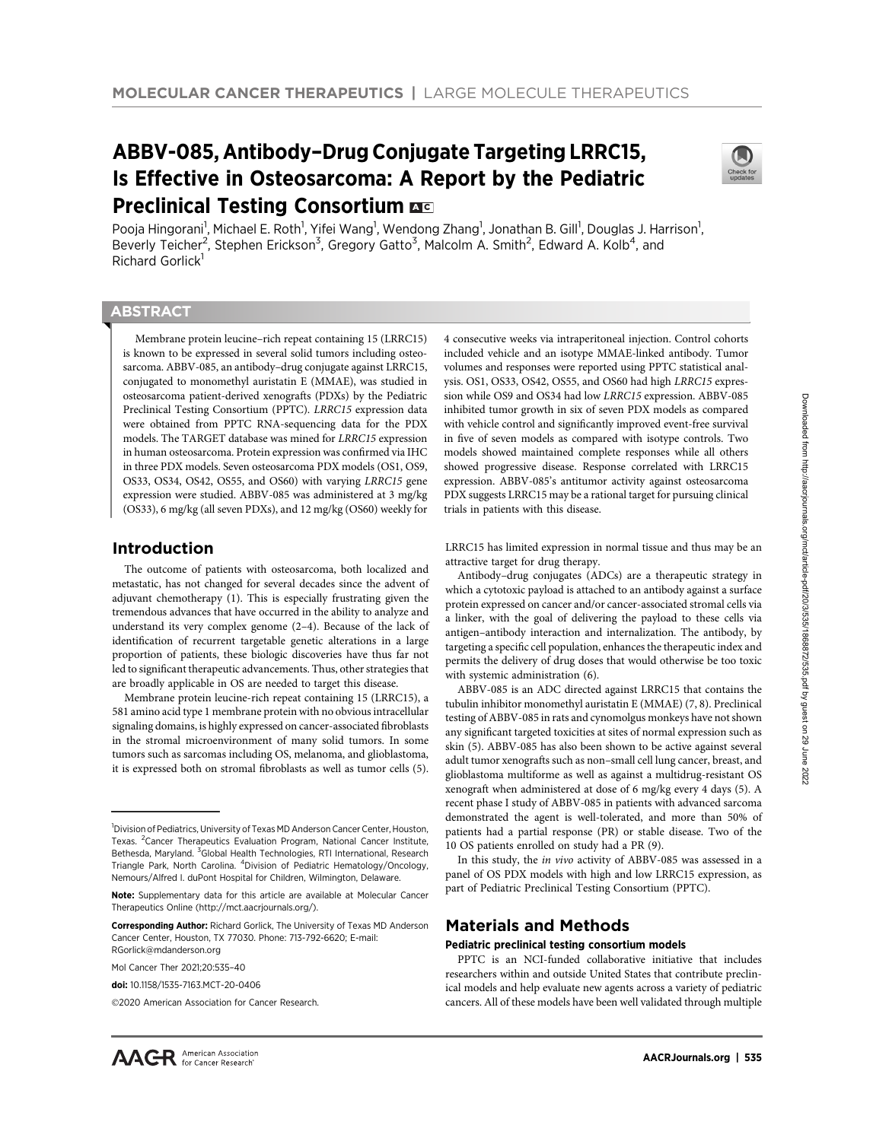# ABBV-085, Antibody–Drug Conjugate Targeting LRRC15, Is Effective in Osteosarcoma: A Report by the Pediatric **Preclinical Testing Consortium AC**



Pooja Hingorani<sup>1</sup>, Michael E. Roth<sup>1</sup>, Yifei Wang<sup>1</sup>, Wendong Zhang<sup>1</sup>, Jonathan B. Gill<sup>1</sup>, Douglas J. Harrison<sup>1</sup>, Beverly Teicher<sup>2</sup>, Stephen Erickson<sup>3</sup>, Gregory Gatto<sup>3</sup>, Malcolm A. Smith<sup>2</sup>, Edward A. Kolb<sup>4</sup>, and Richard Gorlick<sup>1</sup>

# **ABSTRACT**

◥

Membrane protein leucine–rich repeat containing 15 (LRRC15) is known to be expressed in several solid tumors including osteosarcoma. ABBV-085, an antibody–drug conjugate against LRRC15, conjugated to monomethyl auristatin E (MMAE), was studied in osteosarcoma patient-derived xenografts (PDXs) by the Pediatric Preclinical Testing Consortium (PPTC). LRRC15 expression data were obtained from PPTC RNA-sequencing data for the PDX models. The TARGET database was mined for LRRC15 expression in human osteosarcoma. Protein expression was confirmed via IHC in three PDX models. Seven osteosarcoma PDX models (OS1, OS9, OS33, OS34, OS42, OS55, and OS60) with varying LRRC15 gene expression were studied. ABBV-085 was administered at 3 mg/kg (OS33), 6 mg/kg (all seven PDXs), and 12 mg/kg (OS60) weekly for

# Introduction

The outcome of patients with osteosarcoma, both localized and metastatic, has not changed for several decades since the advent of adjuvant chemotherapy (1). This is especially frustrating given the tremendous advances that have occurred in the ability to analyze and understand its very complex genome (2–4). Because of the lack of identification of recurrent targetable genetic alterations in a large proportion of patients, these biologic discoveries have thus far not led to significant therapeutic advancements. Thus, other strategies that are broadly applicable in OS are needed to target this disease.

Membrane protein leucine-rich repeat containing 15 (LRRC15), a 581 amino acid type 1 membrane protein with no obvious intracellular signaling domains, is highly expressed on cancer-associated fibroblasts in the stromal microenvironment of many solid tumors. In some tumors such as sarcomas including OS, melanoma, and glioblastoma, it is expressed both on stromal fibroblasts as well as tumor cells (5).

4 consecutive weeks via intraperitoneal injection. Control cohorts included vehicle and an isotype MMAE-linked antibody. Tumor volumes and responses were reported using PPTC statistical analysis. OS1, OS33, OS42, OS55, and OS60 had high LRRC15 expression while OS9 and OS34 had low LRRC15 expression. ABBV-085 inhibited tumor growth in six of seven PDX models as compared with vehicle control and significantly improved event-free survival in five of seven models as compared with isotype controls. Two models showed maintained complete responses while all others showed progressive disease. Response correlated with LRRC15 expression. ABBV-085's antitumor activity against osteosarcoma PDX suggests LRRC15 may be a rational target for pursuing clinical trials in patients with this disease.

LRRC15 has limited expression in normal tissue and thus may be an attractive target for drug therapy.

Antibody–drug conjugates (ADCs) are a therapeutic strategy in which a cytotoxic payload is attached to an antibody against a surface protein expressed on cancer and/or cancer-associated stromal cells via a linker, with the goal of delivering the payload to these cells via antigen–antibody interaction and internalization. The antibody, by targeting a specific cell population, enhances the therapeutic index and permits the delivery of drug doses that would otherwise be too toxic with systemic administration (6).

ABBV-085 is an ADC directed against LRRC15 that contains the tubulin inhibitor monomethyl auristatin E (MMAE) (7, 8). Preclinical testing of ABBV-085 in rats and cynomolgus monkeys have not shown any significant targeted toxicities at sites of normal expression such as skin (5). ABBV-085 has also been shown to be active against several adult tumor xenografts such as non–small cell lung cancer, breast, and glioblastoma multiforme as well as against a multidrug-resistant OS xenograft when administered at dose of 6 mg/kg every 4 days (5). A recent phase I study of ABBV-085 in patients with advanced sarcoma demonstrated the agent is well-tolerated, and more than 50% of patients had a partial response (PR) or stable disease. Two of the 10 OS patients enrolled on study had a PR (9).

In this study, the in vivo activity of ABBV-085 was assessed in a panel of OS PDX models with high and low LRRC15 expression, as part of Pediatric Preclinical Testing Consortium (PPTC).

# Materials and Methods

#### Pediatric preclinical testing consortium models

PPTC is an NCI-funded collaborative initiative that includes researchers within and outside United States that contribute preclinical models and help evaluate new agents across a variety of pediatric cancers. All of these models have been well validated through multiple

<sup>&</sup>lt;sup>1</sup>Division of Pediatrics, University of Texas MD Anderson Cancer Center, Houston, Texas. <sup>2</sup> Cancer Therapeutics Evaluation Program, National Cancer Institute, Bethesda, Maryland. <sup>3</sup>Global Health Technologies, RTI International, Research Triangle Park, North Carolina. <sup>4</sup>Division of Pediatric Hematology/Oncology, Nemours/Alfred I. duPont Hospital for Children, Wilmington, Delaware.

Note: Supplementary data for this article are available at Molecular Cancer Therapeutics Online (http://mct.aacrjournals.org/).

Corresponding Author: Richard Gorlick, The University of Texas MD Anderson Cancer Center, Houston, TX 77030. Phone: 713-792-6620; E-mail:

RGorlick@mdanderson.org

Mol Cancer Ther 2021;20:535–40

doi: 10.1158/1535-7163.MCT-20-0406

<sup>2020</sup> American Association for Cancer Research.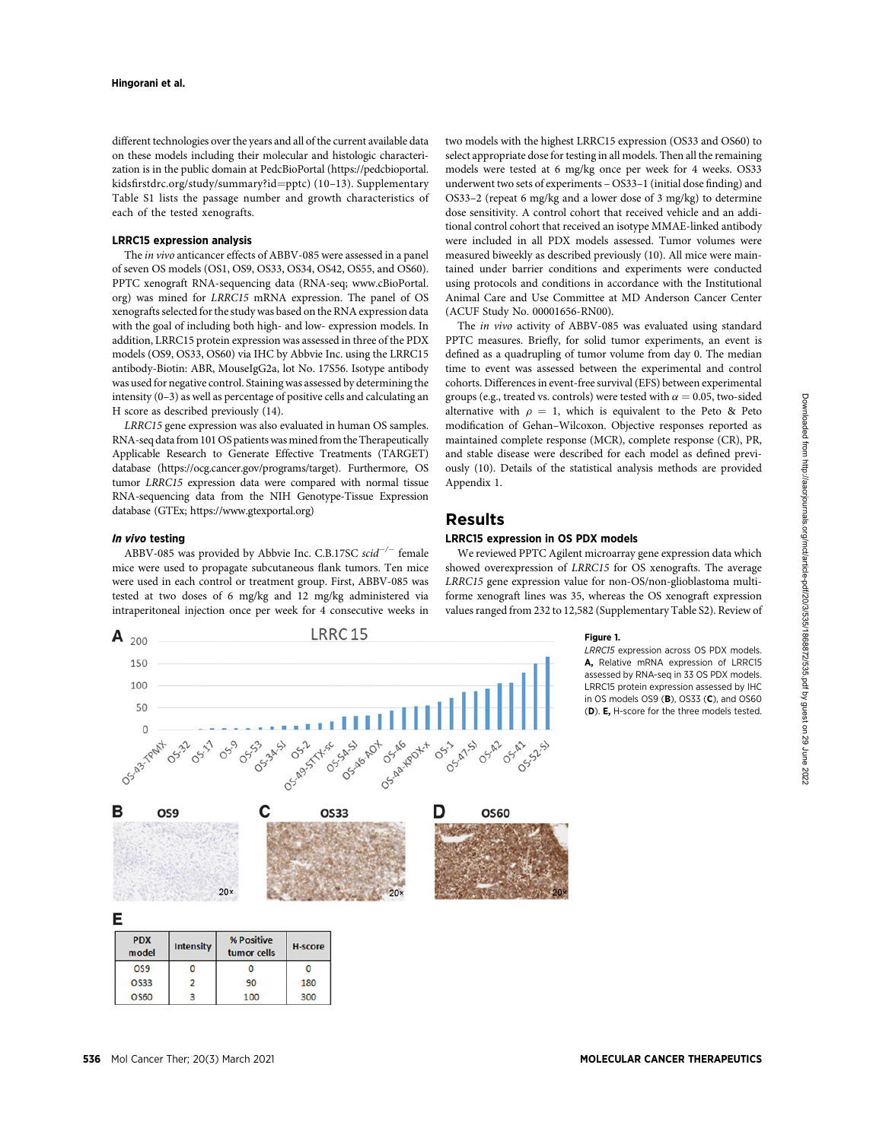different technologies over the years and all of the current available data on these models including their molecular and histologic characterization is in the public domain at PedcBioPortal [\(https://pedcbioportal.](https://pedcbioportal.kidsfirstdrc.org/study/summary?id = pptc) kidsfi[rstdrc.org/study/summary?id](https://pedcbioportal.kidsfirstdrc.org/study/summary?id = pptc)=[pptc\)](https://pedcbioportal.kidsfirstdrc.org/study/summary?id = pptc) (10-13). Supplementary Table S1 lists the passage number and growth characteristics of each of the tested xenografts.

#### LRRC15 expression analysis

The in vivo anticancer effects of ABBV-085 were assessed in a panel of seven OS models (OS1, OS9, OS33, OS34, OS42, OS55, and OS60). PPTC xenograft RNA-sequencing data (RNA-seq; [www.cBioPortal.](http://www.cBioPortal.org) [org\)](http://www.cBioPortal.org) was mined for LRRC15 mRNA expression. The panel of OS xenografts selected for the study was based on the RNA expression data with the goal of including both high- and low- expression models. In addition, LRRC15 protein expression was assessed in three of the PDX models (OS9, OS33, OS60) via IHC by Abbvie Inc. using the LRRC15 antibody-Biotin: ABR, MouseIgG2a, lot No. 17S56. Isotype antibody was used for negative control. Staining was assessed by determining the intensity (0–3) as well as percentage of positive cells and calculating an H score as described previously (14).

LRRC15 gene expression was also evaluated in human OS samples. RNA-seq data from 101 OS patients was mined from the Therapeutically Applicable Research to Generate Effective Treatments (TARGET) database (<https://ocg.cancer.gov/programs/target>). Furthermore, OS tumor LRRC15 expression data were compared with normal tissue RNA-sequencing data from the NIH Genotype-Tissue Expression database (GTEx;<https://www.gtexportal.org>)

#### In vivo testing

 $ABBV-085$  was provided by Abbvie Inc. C.B.17SC scid<sup>-/-</sup> female mice were used to propagate subcutaneous flank tumors. Ten mice were used in each control or treatment group. First, ABBV-085 was tested at two doses of 6 mg/kg and 12 mg/kg administered via intraperitoneal injection once per week for 4 consecutive weeks in

two models with the highest LRRC15 expression (OS33 and OS60) to select appropriate dose for testing in all models. Then all the remaining models were tested at 6 mg/kg once per week for 4 weeks. OS33 underwent two sets of experiments – OS33–1 (initial dose finding) and OS33–2 (repeat 6 mg/kg and a lower dose of 3 mg/kg) to determine dose sensitivity. A control cohort that received vehicle and an additional control cohort that received an isotype MMAE-linked antibody were included in all PDX models assessed. Tumor volumes were measured biweekly as described previously (10). All mice were maintained under barrier conditions and experiments were conducted using protocols and conditions in accordance with the Institutional Animal Care and Use Committee at MD Anderson Cancer Center (ACUF Study No. 00001656-RN00).

The in vivo activity of ABBV-085 was evaluated using standard PPTC measures. Briefly, for solid tumor experiments, an event is defined as a quadrupling of tumor volume from day 0. The median time to event was assessed between the experimental and control cohorts. Differences in event-free survival (EFS) between experimental groups (e.g., treated vs. controls) were tested with  $\alpha = 0.05$ , two-sided alternative with  $\rho = 1$ , which is equivalent to the Peto & Peto modification of Gehan–Wilcoxon. Objective responses reported as maintained complete response (MCR), complete response (CR), PR, and stable disease were described for each model as defined previously (10). Details of the statistical analysis methods are provided Appendix 1.

## Results

#### LRRC15 expression in OS PDX models

We reviewed PPTC Agilent microarray gene expression data which showed overexpression of LRRC15 for OS xenografts. The average LRRC15 gene expression value for non-OS/non-glioblastoma multiforme xenograft lines was 35, whereas the OS xenograft expression values ranged from 232 to 12,582 (Supplementary Table S2). Review of



#### Figure 1.

LRRC15 expression across OS PDX models. A, Relative mRNA expression of LRRC15 assessed by RNA-seq in 33 OS PDX models. LRRC15 protein expression assessed by IHC in OS models OS9 (B), OS33 (C), and OS60 (D). E, H-score for the three models tested.

Downloaded from http://aacrjournals.org/mct/article-pdf/20/3/535/1868872/535.pdf by guest on 29 June 2022 Downloaded from http://aacrjournals.org/mct/article-pdf/20/3/535/1868872/535.pdf by guest on 29 June 2022

 $\overline{3}$ 

100

300

O<sub>S60</sub>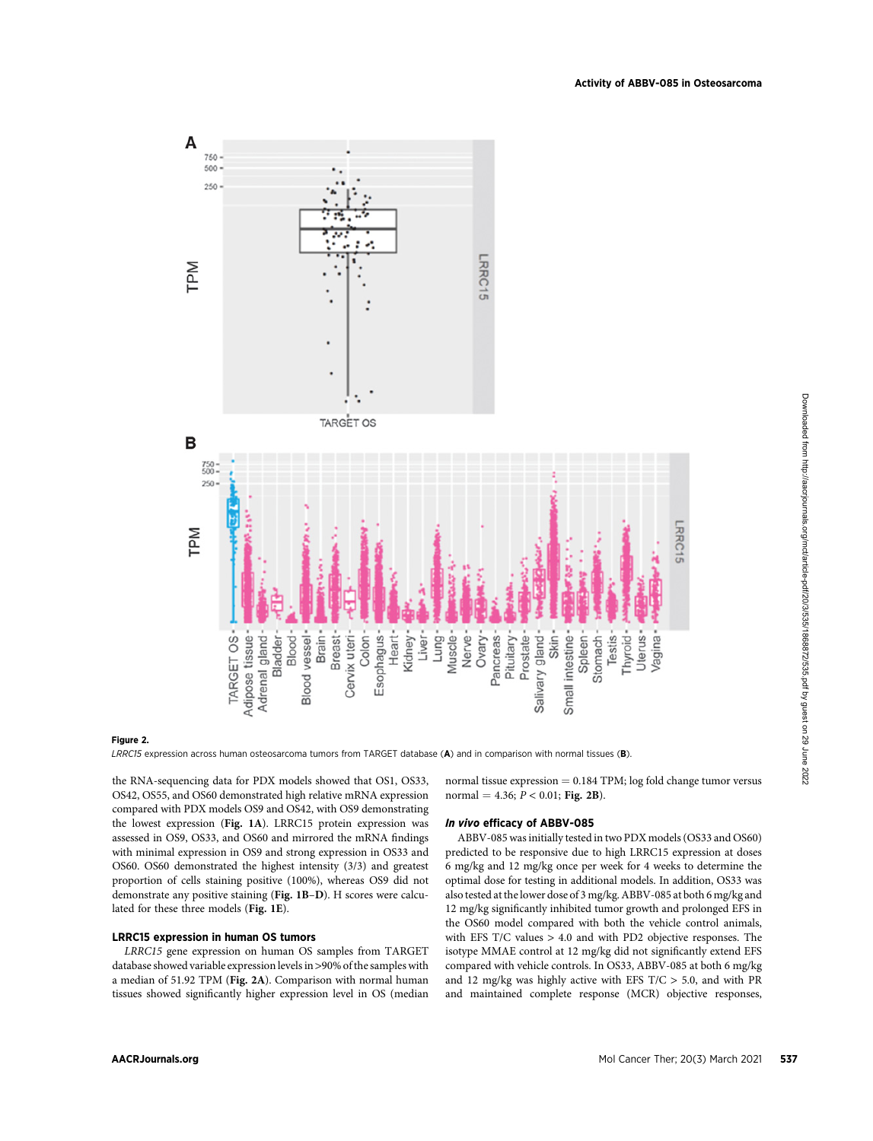

#### Figure 2.

LRRC15 expression across human osteosarcoma tumors from TARGET database (A) and in comparison with normal tissues (B).

the RNA-sequencing data for PDX models showed that OS1, OS33, OS42, OS55, and OS60 demonstrated high relative mRNA expression compared with PDX models OS9 and OS42, with OS9 demonstrating the lowest expression (Fig. 1A). LRRC15 protein expression was assessed in OS9, OS33, and OS60 and mirrored the mRNA findings with minimal expression in OS9 and strong expression in OS33 and OS60. OS60 demonstrated the highest intensity (3/3) and greatest proportion of cells staining positive (100%), whereas OS9 did not demonstrate any positive staining (Fig. 1B–D). H scores were calculated for these three models (Fig. 1E).

#### LRRC15 expression in human OS tumors

LRRC15 gene expression on human OS samples from TARGET database showed variable expression levels in >90% of the samples with a median of 51.92 TPM (Fig. 2A). Comparison with normal human tissues showed significantly higher expression level in OS (median normal tissue expression  $= 0.184$  TPM; log fold change tumor versus normal = 4.36;  $P < 0.01$ ; Fig. 2B).

#### In vivo efficacy of ABBV-085

ABBV-085 was initially tested in two PDX models (OS33 and OS60) predicted to be responsive due to high LRRC15 expression at doses 6 mg/kg and 12 mg/kg once per week for 4 weeks to determine the optimal dose for testing in additional models. In addition, OS33 was also tested at the lower dose of 3 mg/kg. ABBV-085 at both 6 mg/kg and 12 mg/kg significantly inhibited tumor growth and prolonged EFS in the OS60 model compared with both the vehicle control animals, with EFS T/C values > 4.0 and with PD2 objective responses. The isotype MMAE control at 12 mg/kg did not significantly extend EFS compared with vehicle controls. In OS33, ABBV-085 at both 6 mg/kg and 12 mg/kg was highly active with EFS  $T/C > 5.0$ , and with PR and maintained complete response (MCR) objective responses,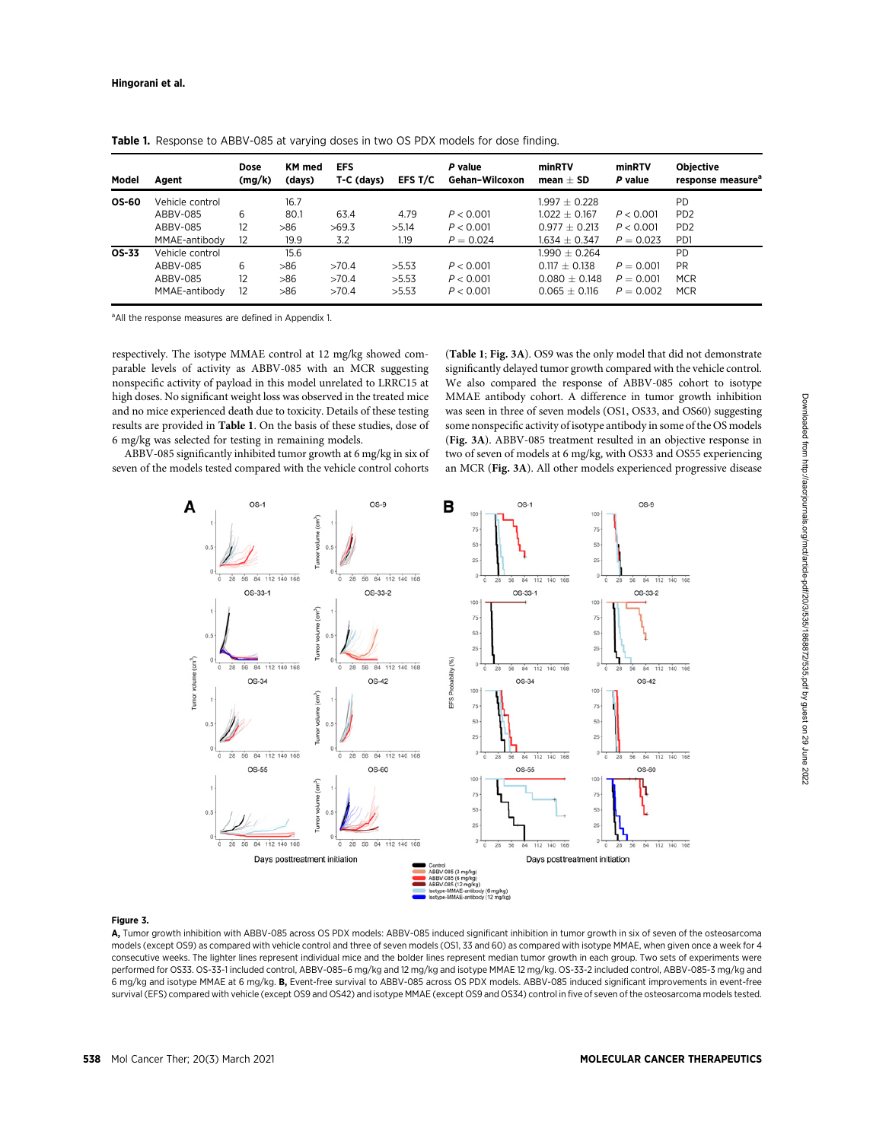| Model        | Agent           | Dose<br>(mg/k) | <b>KM</b> med<br>(days) | <b>EFS</b><br>T-C (days) | EFS T/C | P value<br>Gehan-Wilcoxon | minRTV<br>$mean + SD$ | minRTV<br>P value | <b>Objective</b><br>response measure <sup>a</sup> |
|--------------|-----------------|----------------|-------------------------|--------------------------|---------|---------------------------|-----------------------|-------------------|---------------------------------------------------|
| <b>OS-60</b> | Vehicle control |                | 16.7                    |                          |         |                           | $1.997 + 0.228$       |                   | <b>PD</b>                                         |
|              | ABBV-085        | 6              | 80.1                    | 63.4                     | 4.79    | P < 0.001                 | $1.022 + 0.167$       | P < 0.001         | P <sub>D</sub> <sub>2</sub>                       |
|              | ABBV-085        | 12             | >86                     | >69.3                    | >5.14   | P < 0.001                 | $0.977 + 0.213$       | P < 0.001         | P <sub>D</sub> <sub>2</sub>                       |
|              | MMAE-antibody   | 12             | 19.9                    | 3.2                      | 1.19    | $P = 0.024$               | $1.634 + 0.347$       | $P = 0.023$       | P <sub>D</sub> 1                                  |
| OS-33        | Vehicle control |                | 15.6                    |                          |         |                           | $1.990 + 0.264$       |                   | <b>PD</b>                                         |
|              | ABBV-085        | 6              | >86                     | >70.4                    | >5.53   | P < 0.001                 | $0.117 + 0.138$       | $P = 0.001$       | <b>PR</b>                                         |
|              | ABBV-085        | 12             | >86                     | >70.4                    | >5.53   | P < 0.001                 | $0.080 + 0.148$       | $P = 0.001$       | <b>MCR</b>                                        |
|              | MMAE-antibody   | 12             | >86                     | >70.4                    | >5.53   | P < 0.001                 | $0.065 + 0.116$       | $P = 0.002$       | <b>MCR</b>                                        |

Table 1. Response to ABBV-085 at varying doses in two OS PDX models for dose finding.

<sup>a</sup> All the response measures are defined in Appendix 1.

respectively. The isotype MMAE control at 12 mg/kg showed comparable levels of activity as ABBV-085 with an MCR suggesting nonspecific activity of payload in this model unrelated to LRRC15 at high doses. No significant weight loss was observed in the treated mice and no mice experienced death due to toxicity. Details of these testing results are provided in Table 1. On the basis of these studies, dose of 6 mg/kg was selected for testing in remaining models.

ABBV-085 significantly inhibited tumor growth at 6 mg/kg in six of seven of the models tested compared with the vehicle control cohorts (Table 1; Fig. 3A). OS9 was the only model that did not demonstrate significantly delayed tumor growth compared with the vehicle control. We also compared the response of ABBV-085 cohort to isotype MMAE antibody cohort. A difference in tumor growth inhibition was seen in three of seven models (OS1, OS33, and OS60) suggesting some nonspecific activity of isotype antibody in some of the OS models (Fig. 3A). ABBV-085 treatment resulted in an objective response in two of seven of models at 6 mg/kg, with OS33 and OS55 experiencing an MCR (Fig. 3A). All other models experienced progressive disease



#### Figure 3.

A, Tumor growth inhibition with ABBV-085 across OS PDX models: ABBV-085 induced significant inhibition in tumor growth in six of seven of the osteosarcoma models (except OS9) as compared with vehicle control and three of seven models (OS1, 33 and 60) as compared with isotype MMAE, when given once a week for 4 consecutive weeks. The lighter lines represent individual mice and the bolder lines represent median tumor growth in each group. Two sets of experiments were performed for OS33. OS-33-1 included control, ABBV-085–6 mg/kg and 12 mg/kg and isotype MMAE 12 mg/kg. OS-33-2 included control, ABBV-085-3 mg/kg and 6 mg/kg and isotype MMAE at 6 mg/kg. B, Event-free survival to ABBV-085 across OS PDX models. ABBV-085 induced significant improvements in event-free survival (EFS) compared with vehicle (except OS9 and OS42) and isotype MMAE (except OS9 and OS34) control in five of seven of the osteosarcoma models tested.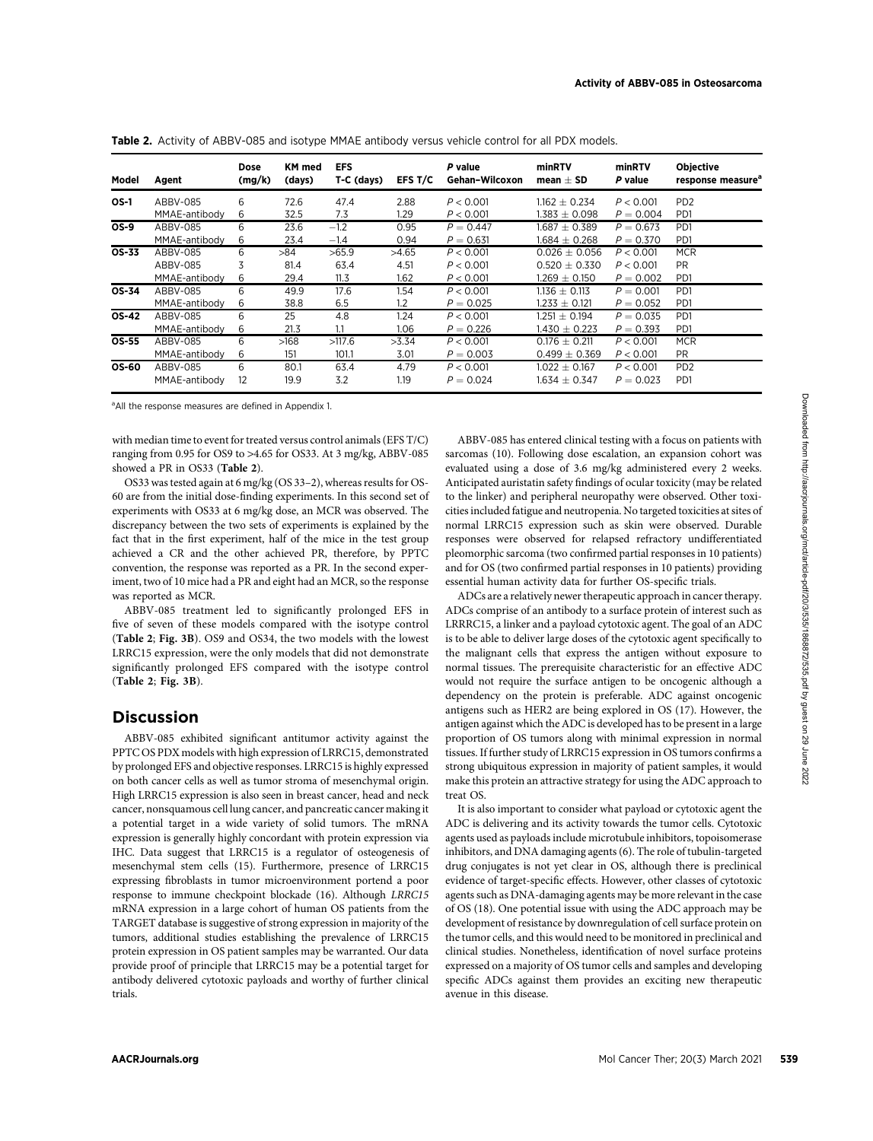| Model       | Agent         | Dose<br>(mg/k) | <b>KM</b> med<br>(days) | <b>EFS</b><br>$T-C$ (days) | EFS T/C | P value<br>Gehan-Wilcoxon | minRTV<br>mean $\pm$ SD      | minRTV<br>P value | <b>Objective</b><br>response measure <sup>®</sup> |
|-------------|---------------|----------------|-------------------------|----------------------------|---------|---------------------------|------------------------------|-------------------|---------------------------------------------------|
| <b>OS-1</b> | ABBV-085      | 6              | 72.6                    | 47.4                       | 2.88    | P < 0.001                 | $1.162 + 0.234$              | P < 0.001         | P <sub>D</sub> <sub>2</sub>                       |
|             | MMAE-antibody | 6              | 32.5                    | 7.3                        | 1.29    | P < 0.001                 | 1.383 $\pm$ 0.098            | $P = 0.004$       | P <sub>D</sub> 1                                  |
| <b>OS-9</b> | ABBV-085      | 6              | 23.6                    | $-1.2$                     | 0.95    | $P = 0.447$               | $1.687 + 0.389$              | $P = 0.673$       | P <sub>D</sub> 1                                  |
|             | MMAE-antibody | 6              | 23.4                    | $-1.4$                     | 0.94    | $P = 0.631$               | $1.684 \pm 0.268$            | $P = 0.370$       | P <sub>D</sub> 1                                  |
| OS-33       | ABBV-085      | 6              | >84                     | >65.9                      | >4.65   | P < 0.001                 | $0.026 \pm 0.056$            | P < 0.001         | <b>MCR</b>                                        |
|             | ABBV-085      | 3              | 81.4                    | 63.4                       | 4.51    | P < 0.001                 | $0.520 + 0.330$              | P < 0.001         | <b>PR</b>                                         |
|             | MMAE-antibody | 6              | 29.4                    | 11.3                       | 1.62    | P < 0.001                 | 1.269 $\pm$ 0.150 $^{\circ}$ | $P = 0.002$       | P <sub>D</sub> 1                                  |
| OS-34       | ABBV-085      | 6              | 49.9                    | 17.6                       | 1.54    | P < 0.001                 | $1.136 + 0.113$              | $P = 0.001$       | P <sub>D</sub> 1                                  |
|             | MMAE-antibody | 6              | 38.8                    | 6.5                        | 1.2     | $P = 0.025$               | $1.233 \pm 0.121$            | $P = 0.052$       | P <sub>D</sub> 1                                  |
| OS-42       | ABBV-085      | 6              | 25                      | 4.8                        | 1.24    | P < 0.001                 | $1.251 \pm 0.194$            | $P = 0.035$       | P <sub>D</sub> 1                                  |
|             | MMAE-antibody | 6              | 21.3                    | 1.1                        | 1.06    | $P = 0.226$               | $1.430 + 0.223$              | $P = 0.393$       | P <sub>D</sub> 1                                  |
| OS-55       | ABBV-085      | 6              | >168                    | >117.6                     | >3.34   | P < 0.001                 | $0.176 \pm 0.211$            | P < 0.001         | <b>MCR</b>                                        |
|             | MMAE-antibody | 6              | 151                     | 101.1                      | 3.01    | $P = 0.003$               | $0.499 \pm 0.369$            | P < 0.001         | <b>PR</b>                                         |
| OS-60       | ABBV-085      | 6              | 80.1                    | 63.4                       | 4.79    | P < 0.001                 | $1.022 + 0.167$              | P < 0.001         | PD <sub>2</sub>                                   |
|             | MMAE-antibody | 12             | 19.9                    | 3.2                        | 1.19    | $P = 0.024$               | $1.634 + 0.347$              | $P = 0.023$       | P <sub>D</sub> 1                                  |

Table 2. Activity of ABBV-085 and isotype MMAE antibody versus vehicle control for all PDX models.

<sup>a</sup> All the response measures are defined in Appendix 1.

with median time to event for treated versus control animals (EFS T/C) ranging from 0.95 for OS9 to >4.65 for OS33. At 3 mg/kg, ABBV-085 showed a PR in OS33 (Table 2).

OS33 was tested again at 6 mg/kg (OS 33–2), whereas results for OS-60 are from the initial dose-finding experiments. In this second set of experiments with OS33 at 6 mg/kg dose, an MCR was observed. The discrepancy between the two sets of experiments is explained by the fact that in the first experiment, half of the mice in the test group achieved a CR and the other achieved PR, therefore, by PPTC convention, the response was reported as a PR. In the second experiment, two of 10 mice had a PR and eight had an MCR, so the response was reported as MCR.

ABBV-085 treatment led to significantly prolonged EFS in five of seven of these models compared with the isotype control (Table 2; Fig. 3B). OS9 and OS34, the two models with the lowest LRRC15 expression, were the only models that did not demonstrate significantly prolonged EFS compared with the isotype control (Table 2; Fig. 3B).

## **Discussion**

ABBV-085 exhibited significant antitumor activity against the PPTC OS PDX models with high expression of LRRC15, demonstrated by prolonged EFS and objective responses. LRRC15 is highly expressed on both cancer cells as well as tumor stroma of mesenchymal origin. High LRRC15 expression is also seen in breast cancer, head and neck cancer, nonsquamous cell lung cancer, and pancreatic cancer making it a potential target in a wide variety of solid tumors. The mRNA expression is generally highly concordant with protein expression via IHC. Data suggest that LRRC15 is a regulator of osteogenesis of mesenchymal stem cells (15). Furthermore, presence of LRRC15 expressing fibroblasts in tumor microenvironment portend a poor response to immune checkpoint blockade (16). Although LRRC15 mRNA expression in a large cohort of human OS patients from the TARGET database is suggestive of strong expression in majority of the tumors, additional studies establishing the prevalence of LRRC15 protein expression in OS patient samples may be warranted. Our data provide proof of principle that LRRC15 may be a potential target for antibody delivered cytotoxic payloads and worthy of further clinical trials.

ABBV-085 has entered clinical testing with a focus on patients with sarcomas (10). Following dose escalation, an expansion cohort was evaluated using a dose of 3.6 mg/kg administered every 2 weeks. Anticipated auristatin safety findings of ocular toxicity (may be related to the linker) and peripheral neuropathy were observed. Other toxicities included fatigue and neutropenia. No targeted toxicities at sites of normal LRRC15 expression such as skin were observed. Durable responses were observed for relapsed refractory undifferentiated pleomorphic sarcoma (two confirmed partial responses in 10 patients) and for OS (two confirmed partial responses in 10 patients) providing essential human activity data for further OS-specific trials.

ADCs are a relatively newer therapeutic approach in cancer therapy. ADCs comprise of an antibody to a surface protein of interest such as LRRRC15, a linker and a payload cytotoxic agent. The goal of an ADC is to be able to deliver large doses of the cytotoxic agent specifically to the malignant cells that express the antigen without exposure to normal tissues. The prerequisite characteristic for an effective ADC would not require the surface antigen to be oncogenic although a dependency on the protein is preferable. ADC against oncogenic antigens such as HER2 are being explored in OS (17). However, the antigen against which the ADC is developed has to be present in a large proportion of OS tumors along with minimal expression in normal tissues. If further study of LRRC15 expression in OS tumors confirms a strong ubiquitous expression in majority of patient samples, it would make this protein an attractive strategy for using the ADC approach to treat OS.

It is also important to consider what payload or cytotoxic agent the ADC is delivering and its activity towards the tumor cells. Cytotoxic agents used as payloads include microtubule inhibitors, topoisomerase inhibitors, and DNA damaging agents (6). The role of tubulin-targeted drug conjugates is not yet clear in OS, although there is preclinical evidence of target-specific effects. However, other classes of cytotoxic agents such as DNA-damaging agents may be more relevant in the case of OS (18). One potential issue with using the ADC approach may be development of resistance by downregulation of cell surface protein on the tumor cells, and this would need to be monitored in preclinical and clinical studies. Nonetheless, identification of novel surface proteins expressed on a majority of OS tumor cells and samples and developing specific ADCs against them provides an exciting new therapeutic avenue in this disease.